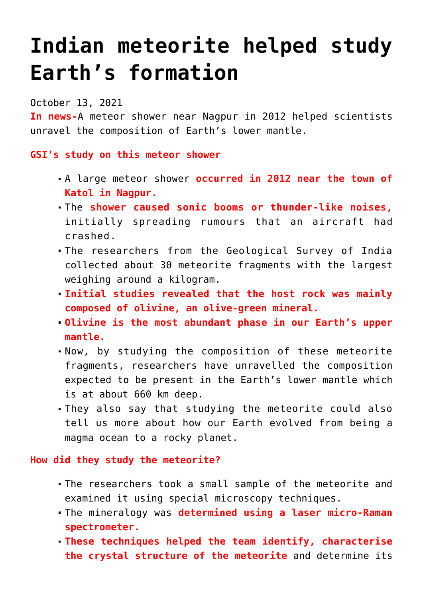# **[Indian meteorite helped study](https://journalsofindia.com/17389-2/) [Earth's formation](https://journalsofindia.com/17389-2/)**

October 13, 2021

**In news-**A meteor shower near Nagpur in 2012 helped scientists unravel the composition of Earth's lower mantle.

### **GSI's study on this meteor shower**

- A large meteor shower **occurred in 2012 near the town of Katol in Nagpur.**
- The **shower caused sonic booms or thunder-like noises,** initially spreading rumours that an aircraft had crashed.
- The researchers from the Geological Survey of India collected about 30 meteorite fragments with the largest weighing around a kilogram.
- **Initial studies revealed that the host rock was mainly composed of olivine, an olive-green mineral.**
- **Olivine is the most abundant phase in our Earth's upper mantle.**
- Now, by studying the composition of these meteorite fragments, researchers have unravelled the composition expected to be present in the Earth's lower mantle which is at about 660 km deep.
- They also say that studying the meteorite could also tell us more about how our Earth evolved from being a magma ocean to a rocky planet.

#### **How did they study the meteorite?**

- The researchers took a small sample of the meteorite and examined it using special microscopy techniques.
- The mineralogy was **determined using a laser micro-Raman spectrometer.**
- **These techniques helped the team identify, characterise the crystal structure of the meteorite** and determine its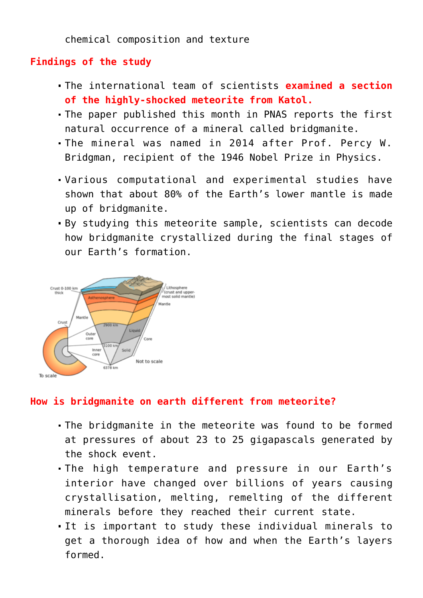chemical composition and texture

## **Findings of the study**

- The international team of scientists **examined a section of the highly-shocked meteorite from Katol.**
- The paper published this month in PNAS reports the first natural occurrence of a mineral called bridgmanite.
- The mineral was named in 2014 after Prof. Percy W. Bridgman, recipient of the 1946 Nobel Prize in Physics.
- Various computational and experimental studies have shown that about 80% of the Earth's lower mantle is made up of bridgmanite.
- By studying this meteorite sample, scientists can decode how bridgmanite crystallized during the final stages of our Earth's formation.



## **How is bridgmanite on earth different from meteorite?**

- The bridgmanite in the meteorite was found to be formed at pressures of about 23 to 25 gigapascals generated by the shock event.
- The high temperature and pressure in our Earth's interior have changed over billions of years causing crystallisation, melting, remelting of the different minerals before they reached their current state.
- It is important to study these individual minerals to get a thorough idea of how and when the Earth's layers formed.